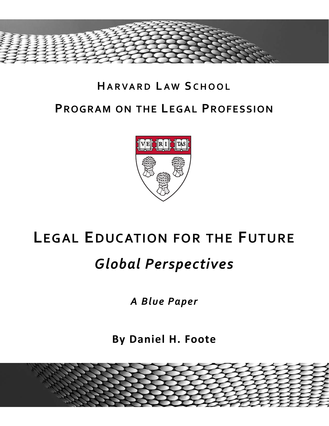

## **HARVARD LAW S CHOOL PROGRAM ON THE LEGAL PROFESSION**



# **LEGAL EDUCATION FOR THE FUTURE**

# *Global Perspectives*

*A Blue Paper*

**By Daniel H. Foote**

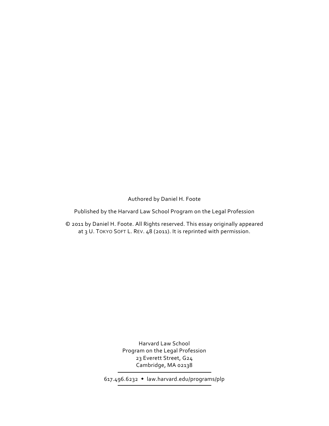Authored by Daniel H. Foote

Published by the Harvard Law School Program on the Legal Profession

© 2011 by Daniel H. Foote. All Rights reserved. This essay originally appeared at 3 U. TOKYO SOFT L. REV. 48 (2011). It is reprinted with permission.

> Harvard Law School Program on the Legal Profession 23 Everett Street, G24 Cambridge, MA 02138

617.496.6232 law.harvard.edu/programs/plp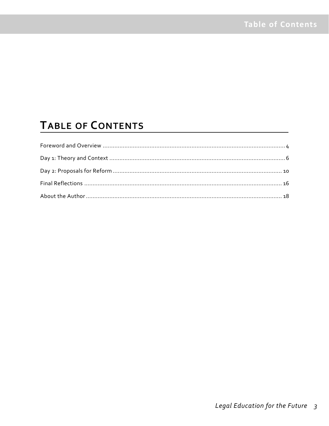### **TABLE OF CONTENTS**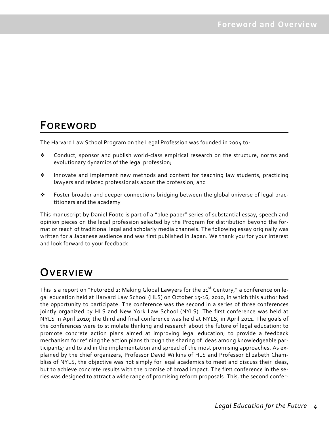### **FOREWORD**

The Harvard Law School Program on the Legal Profession was founded in 2004 to:

- Conduct, sponsor and publish world‐class empirical research on the structure, norms and evolutionary dynamics of the legal profession;
- Innovate and implement new methods and content for teaching law students, practicing lawyers and related professionals about the profession; and
- Foster broader and deeper connections bridging between the global universe of legal prac‐ titioners and the academy

This manuscript by Daniel Foote is part of a "blue paper" series of substantial essay, speech and opinion pieces on the legal profession selected by the Program for distribution beyond the for‐ mat or reach of traditional legal and scholarly media channels. The following essay originally was written for a Japanese audience and was first published in Japan. We thank you for your interest and look forward to your feedback.

### **OVERVIEW**

This is a report on "FutureEd 2: Making Global Lawyers for the  $21<sup>st</sup>$  Century," a conference on legal education held at Harvard Law School (HLS) on October 15‐16, 2010, in which this author had the opportunity to participate. The conference was the second in a series of three conferences jointly organized by HLS and New York Law School (NYLS). The first conference was held at NYLS in April 2010; the third and final conference was held at NYLS, in April 2011. The goals of the conferences were to stimulate thinking and research about the future of legal education; to promote concrete action plans aimed at improving legal education; to provide a feedback mechanism for refining the action plans through the sharing of ideas among knowledgeable par‐ ticipants; and to aid in the implementation and spread of the most promising approaches. As ex‐ plained by the chief organizers, Professor David Wilkins of HLS and Professor Elizabeth Cham‐ bliss of NYLS, the objective was not simply for legal academics to meet and discuss their ideas, but to achieve concrete results with the promise of broad impact. The first conference in the se‐ ries was designed to attract a wide range of promising reform proposals. This, the second confer‐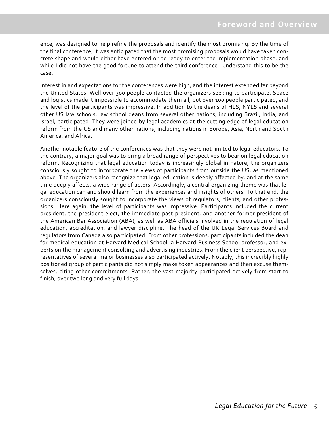ence, was designed to help refine the proposals and identify the most promising. By the time of the final conference, it was anticipated that the most promising proposals would have taken con‐ crete shape and would either have entered or be ready to enter the implementation phase, and while I did not have the good fortune to attend the third conference I understand this to be the case.

Interest in and expectations for the conferences were high, and the interest extended far beyond the United States. Well over 300 people contacted the organizers seeking to participate. Space and logistics made it impossible to accommodate them all, but over 100 people participated, and the level of the participants was impressive. In addition to the deans of HLS, NYLS and several other US law schools, law school deans from several other nations, including Brazil, India, and Israel, participated. They were joined by legal academics at the cutting edge of legal education reform from the US and many other nations, including nations in Europe, Asia, North and South America, and Africa.

Another notable feature of the conferences was that they were not limited to legal educators. To the contrary, a major goal was to bring a broad range of perspectives to bear on legal education reform. Recognizing that legal education today is increasingly global in nature, the organizers consciously sought to incorporate the views of participants from outside the US, as mentioned above. The organizers also recognize that legal education is deeply affected by, and at the same time deeply affects, a wide range of actors. Accordingly, a central organizing theme was that le‐ gal education can and should learn from the experiences and insights of others. To that end, the organizers consciously sought to incorporate the views of regulators, clients, and other profes‐ sions. Here again, the level of participants was impressive. Participants included the current president, the president elect, the immediate past president, and another former president of the American Bar Association (ABA), as well as ABA officials involved in the regulation of legal education, accreditation, and lawyer discipline. The head of the UK Legal Services Board and regulators from Canada also participated. From other professions, participants included the dean for medical education at Harvard Medical School, a Harvard Business School professor, and ex‐ perts on the management consulting and advertising industries. From the client perspective, representatives of several major businesses also participated actively. Notably, this incredibly highly positioned group of participants did not simply make token appearances and then excuse them‐ selves, citing other commitments. Rather, the vast majority participated actively from start to finish, over two long and very full days.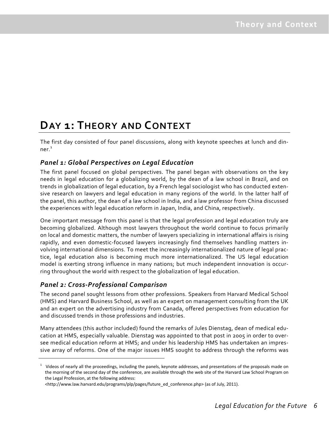### **DAY 1: THEORY AND CONTEXT**

The first day consisted of four panel discussions, along with keynote speeches at lunch and din‐ ner. $1$ 

### *Panel 1: Global Perspectives on Legal Education*

The first panel focused on global perspectives. The panel began with observations on the key needs in legal education for a globalizing world, by the dean of a law school in Brazil, and on trends in globalization of legal education, by a French legal sociologist who has conducted exten‐ sive research on lawyers and legal education in many regions of the world. In the latter half of the panel, this author, the dean of a law school in India, and a law professor from China discussed the experiences with legal education reform in Japan, India, and China, respectively.

One important message from this panel is that the legal profession and legal education truly are becoming globalized. Although most lawyers throughout the world continue to focus primarily on local and domestic matters, the number of lawyers specializing in international affairs is rising rapidly, and even domestic-focused lawyers increasingly find themselves handling matters involving international dimensions. To meet the increasingly internationalized nature of legal prac‐ tice, legal education also is becoming much more internationalized. The US legal education model is exerting strong influence in many nations; but much independent innovation is occurring throughout the world with respect to the globalization of legal education.

#### *Panel 2: Cross‐Professional Comparison*

The second panel sought lessons from other professions. Speakers from Harvard Medical School (HMS) and Harvard Business School, as well as an expert on management consulting from the UK and an expert on the advertising industry from Canada, offered perspectives from education for and discussed trends in those professions and industries.

Many attendees (this author included) found the remarks of Jules Dienstag, dean of medical edu‐ cation at HMS, especially valuable. Dienstag was appointed to that post in 2005 in order to over‐ see medical education reform at HMS; and under his leadership HMS has undertaken an impres‐ sive array of reforms. One of the major issues HMS sought to address through the reforms was

 $1$  Videos of nearly all the proceedings, including the panels, keynote addresses, and presentations of the proposals made on the morning of the second day of the conference, are available through the web site of the Harvard Law School Program on the Legal Profession, at the following address:

<sup>&</sup>lt;http://www.law.harvard.edu/programs/plp/pages/future\_ed\_conference.php> (as of July, 2011).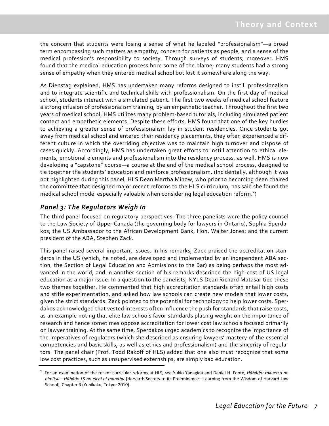the concern that students were losing a sense of what he labeled "professionalism"—a broad term encompassing such matters as empathy, concern for patients as people, and a sense of the medical profession's responsibility to society. Through surveys of students, moreover, HMS found that the medical education process bore some of the blame; many students had a strong sense of empathy when they entered medical school but lost it somewhere along the way.

As Dienstag explained, HMS has undertaken many reforms designed to instill professionalism and to integrate scientific and technical skills with professionalism. On the first day of medical school, students interact with a simulated patient. The first two weeks of medical school feature a strong infusion of professionalism training, by an empathetic teacher. Throughout the first two years of medical school, HMS utilizes many problem‐based tutorials, including simulated patient contact and empathetic elements. Despite these efforts, HMS found that one of the key hurdles to achieving a greater sense of professionalism lay in student residencies. Once students got away from medical school and entered their residency placements, they often experienced a different culture in which the overriding objective was to maintain high turnover and dispose of cases quickly. Accordingly, HMS has undertaken great efforts to instill attention to ethical ele‐ ments, emotional elements and professionalism into the residency process, as well. HMS is now developing a "capstone" course—a course at the end of the medical school process, designed to tie together the students' education and reinforce professionalism. (Incidentally, although it was not highlighted during this panel, HLS Dean Martha Minow, who prior to becoming dean chaired the committee that designed major recent reforms to the HLS curriculum, has said she found the medical school model especially valuable when considering legal education reform.<sup>2</sup>)

### *Panel 3: The Regulators Weigh In*

The third panel focused on regulatory perspectives. The three panelists were the policy counsel to the Law Society of Upper Canada (the governing body for lawyers in Ontario), Sophia Sperda‐ kos; the US Ambassador to the African Development Bank, Hon. Walter Jones; and the current president of the ABA, Stephen Zack.

This panel raised several important issues. In his remarks, Zack praised the accreditation stan‐ dards in the US (which, he noted, are developed and implemented by an independent ABA section, the Section of Legal Education and Admissions to the Bar) as being perhaps the most ad‐ vanced in the world, and in another section of his remarks described the high cost of US legal education as a major issue. In a question to the panelists, NYLS Dean Richard Matasar tied these two themes together. He commented that high accreditation standards often entail high costs and stifle experimentation, and asked how law schools can create new models that lower costs, given the strict standards. Zack pointed to the potential for technology to help lower costs. Sper‐ dakos acknowledged that vested interests often influence the push for standards that raise costs, as an example noting that elite law schools favor standards placing weight on the importance of research and hence sometimes oppose accreditation for lower cost law schools focused primarily on lawyer training. At the same time, Sperdakos urged academics to recognize the importance of the imperatives of regulators (which she described as ensuring lawyers' mastery of the essential competencies and basic skills, as well as ethics and professionalism) and the sincerity of regula‐ tors. The panel chair (Prof. Todd Rakoff of HLS) added that one also must recognize that some low cost practices, such as unsupervised externships, are simply bad education.

<sup>2</sup> For an examination of the recent curricular reforms at HLS, see Yukio Yanagida and Daniel H. Foote, *Hābādo: takuetsu no himitsu—Hābādo LS no eichi ni manabu* [Harvard: Secrets to its Preeminence—Learning from the Wisdom of Harvard Law School], Chapter 3 (Yuhikaku, Tokyo: 2010).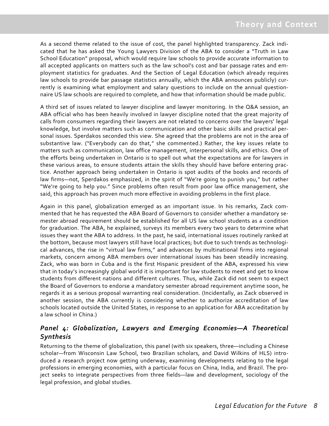As a second theme related to the issue of cost, the panel highlighted transparency. Zack indi‐ cated that he has asked the Young Lawyers Division of the ABA to consider a "Truth in Law School Education" proposal, which would require law schools to provide accurate information to all accepted applicants on matters such as the law school's cost and bar passage rates and em‐ ployment statistics for graduates. And the Section of Legal Education (which already requires law schools to provide bar passage statistics annually, which the ABA announces publicly) currently is examining what employment and salary questions to include on the annual question‐ naire US law schools are required to complete, and how that information should be made public.

A third set of issues related to lawyer discipline and lawyer monitoring. In the Q&A session, an ABA official who has been heavily involved in lawyer discipline noted that the great majority of calls from consumers regarding their lawyers are not related to concerns over the lawyers' legal knowledge, but involve matters such as communication and other basic skills and practical per‐ sonal issues. Sperdakos seconded this view. She agreed that the problems are not in the area of substantive law. ("Everybody can do that," she commented.) Rather, the key issues relate to matters such as communication, law office management, interpersonal skills, and ethics. One of the efforts being undertaken in Ontario is to spell out what the expectations are for lawyers in these various areas, to ensure students attain the skills they should have before entering prac‐ tice. Another approach being undertaken in Ontario is spot audits of the books and records of law firms—not, Sperdakos emphasized, in the spirit of "We're going to punish you," but rather "We're going to help you." Since problems often result from poor law office management, she said, this approach has proven much more effective in avoiding problems in the first place.

Again in this panel, globalization emerged as an important issue. In his remarks, Zack com‐ mented that he has requested the ABA Board of Governors to consider whether a mandatory se‐ mester abroad requirement should be established for all US law school students as a condition for graduation. The ABA, he explained, surveys its members every two years to determine what issues they want the ABA to address. In the past, he said, international issues routinely ranked at the bottom, because most lawyers still have local practices; but due to such trends as technological advances, the rise in "virtual law firms," and advances by multinational firms into regional markets, concern among ABA members over international issues has been steadily increasing. Zack, who was born in Cuba and is the first Hispanic president of the ABA, expressed his view that in today's increasingly global world it is important for law students to meet and get to know students from different nations and different cultures. Thus, while Zack did not seem to expect the Board of Governors to endorse a mandatory semester abroad requirement anytime soon, he regards it as a serious proposal warranting real consideration. (Incidentally, as Zack observed in another session, the ABA currently is considering whether to authorize accreditation of law schools located outside the United States, in response to an application for ABA accreditation by a law school in China.)

### *Panel 4: Globalization, Lawyers and Emerging Economies—A Theoretical Synthesis*

Returning to the theme of globalization, this panel (with six speakers, three—including a Chinese scholar—from Wisconsin Law School, two Brazilian scholars, and David Wilkins of HLS) intro‐ duced a research project now getting underway, examining developments relating to the legal professions in emerging economies, with a particular focus on China, India, and Brazil. The pro‐ ject seeks to integrate perspectives from three fields—law and development, sociology of the legal profession, and global studies.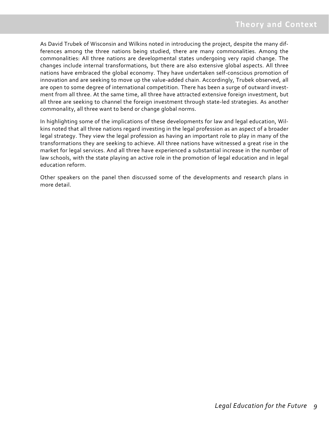As David Trubek of Wisconsin and Wilkins noted in introducing the project, despite the many dif‐ ferences among the three nations being studied, there are many commonalities. Among the commonalities: All three nations are developmental states undergoing very rapid change. The changes include internal transformations, but there are also extensive global aspects. All three nations have embraced the global economy. They have undertaken self‐conscious promotion of innovation and are seeking to move up the value‐added chain. Accordingly, Trubek observed, all are open to some degree of international competition. There has been a surge of outward investment from all three. At the same time, all three have attracted extensive foreign investment, but all three are seeking to channel the foreign investment through state‐led strategies. As another commonality, all three want to bend or change global norms.

In highlighting some of the implications of these developments for law and legal education, Wil‐ kins noted that all three nations regard investing in the legal profession as an aspect of a broader legal strategy. They view the legal profession as having an important role to play in many of the transformations they are seeking to achieve. All three nations have witnessed a great rise in the market for legal services. And all three have experienced a substantial increase in the number of law schools, with the state playing an active role in the promotion of legal education and in legal education reform.

Other speakers on the panel then discussed some of the developments and research plans in more detail.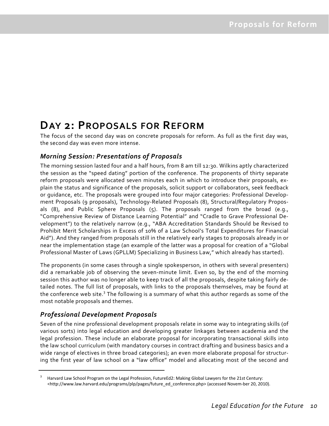### **DAY 2: PROPOSALS FOR REFORM**

The focus of the second day was on concrete proposals for reform. As full as the first day was, the second day was even more intense.

### *Morning Session: Presentations of Proposals*

The morning session lasted four and a half hours, from 8 am till 12:30. Wilkins aptly characterized the session as the "speed dating" portion of the conference. The proponents of thirty separate reform proposals were allocated seven minutes each in which to introduce their proposals, ex‐ plain the status and significance of the proposals, solicit support or collaborators, seek feedback or guidance, etc. The proposals were grouped into four major categories: Professional Develop‐ ment Proposals (9 proposals), Technology‐Related Proposals (8), Structural/Regulatory Propos‐ als (8), and Public Sphere Proposals (5). The proposals ranged from the broad (e.g., "Comprehensive Review of Distance Learning Potential" and "Cradle to Grave Professional De‐ velopment") to the relatively narrow (e.g., "ABA Accreditation Standards Should be Revised to Prohibit Merit Scholarships in Excess of 10% of a Law School's Total Expenditures for Financial Aid"). And they ranged from proposals still in the relatively early stages to proposals already in or near the implementation stage (an example of the latter was a proposal for creation of a "Global Professional Master of Laws (GPLLM) Specializing in Business Law," which already has started).

The proponents (in some cases through a single spokesperson, in others with several presenters) did a remarkable job of observing the seven-minute limit. Even so, by the end of the morning session this author was no longer able to keep track of all the proposals, despite taking fairly de‐ tailed notes. The full list of proposals, with links to the proposals themselves, may be found at the conference web site.<sup>3</sup> The following is a summary of what this author regards as some of the most notable proposals and themes.

### *Professional Development Proposals*

Seven of the nine professional development proposals relate in some way to integrating skills (of various sorts) into legal education and developing greater linkages between academia and the legal profession. These include an elaborate proposal for incorporating transactional skills into the law school curriculum (with mandatory courses in contract drafting and business basics and a wide range of electives in three broad categories); an even more elaborate proposal for structuring the first year of law school on a "law office" model and allocating most of the second and

<sup>3</sup> Harvard Law School Program on the Legal Profession, FutureEd2: Making Global Lawyers for the 21st Century: <http://www.law.harvard.edu/programs/plp/pages/future\_ed\_conference.php> (accessed Novem‐ber 20, 2010).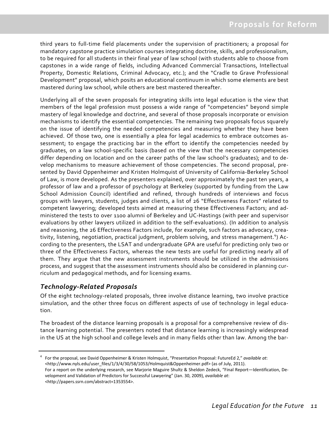third years to full-time field placements under the supervision of practitioners; a proposal for mandatory capstone practice simulation courses integrating doctrine, skills, and professionalism, to be required for all students in their final year of law school (with students able to choose from capstones in a wide range of fields, including Advanced Commercial Transactions, Intellectual Property, Domestic Relations, Criminal Advocacy, etc.); and the "Cradle to Grave Professional Development" proposal, which posits an educational continuum in which some elements are best mastered during law school, while others are best mastered thereafter.

Underlying all of the seven proposals for integrating skills into legal education is the view that members of the legal profession must possess a wide range of "competencies" beyond simple mastery of legal knowledge and doctrine, and several of those proposals incorporate or envision mechanisms to identify the essential competencies. The remaining two proposals focus squarely on the issue of identifying the needed competencies and measuring whether they have been achieved. Of those two, one is essentially a plea for legal academics to embrace outcomes assessment; to engage the practicing bar in the effort to identify the competencies needed by graduates, on a law school-specific basis (based on the view that the necessary competencies differ depending on location and on the career paths of the law school's graduates); and to de‐ velop mechanisms to measure achievement of those competencies. The second proposal, pre‐ sented by David Oppenheimer and Kristen Holmquist of University of California‐Berkeley School of Law, is more developed. As the presenters explained, over approximately the past ten years, a professor of law and a professor of psychology at Berkeley (supported by funding from the Law School Admission Council) identified and refined, through hundreds of interviews and focus groups with lawyers, students, judges and clients, a list of 26 "Effectiveness Factors" related to competent lawyering; developed tests aimed at measuring these Effectiveness Factors; and ad‐ ministered the tests to over 1100 alumni of Berkeley and UC‐Hastings (with peer and supervisor evaluations by other lawyers utilized in addition to the self‐evaluations). (In addition to analysis and reasoning, the 26 Effectiveness Factors include, for example, such factors as advocacy, creativity, listening, negotiation, practical judgment, problem solving, and stress management.<sup>4</sup>) According to the presenters, the LSAT and undergraduate GPA are useful for predicting only two or three of the Effectiveness Factors, whereas the new tests are useful for predicting nearly all of them. They argue that the new assessment instruments should be utilized in the admissions process, and suggest that the assessment instruments should also be considered in planning cur‐ riculum and pedagogical methods, and for licensing exams.

#### *Technology‐Related Proposals*

Of the eight technology‐related proposals, three involve distance learning, two involve practice simulation, and the other three focus on different aspects of use of technology in legal education.

The broadest of the distance learning proposals is a proposal for a comprehensive review of dis‐ tance learning potential. The presenters noted that distance learning is increasingly widespread in the US at the high school and college levels and in many fields other than law. Among the bar-

<sup>4</sup> For the proposal, see David Oppenheimer & Kristen Holmquist, "Presentation Proposal: FutureEd 2," *available at*: <http://www.nyls.edu/user\_files/1/3/4/30/58/1053/Holmquist&Oppenheimer.pdf> (as of July, 2011). For a report on the underlying research, see Marjorie Maguire Shultz & Sheldon Zedeck, "Final Report—Identification, De‐ velopment and Validation of Predictors for Successful Lawyering" (Jan. 30, 2009), *available at*: <http://papers.ssrn.com/abstract=1353554>.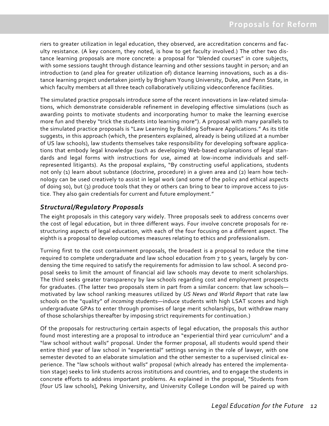riers to greater utilization in legal education, they observed, are accreditation concerns and fac‐ ulty resistance. (A key concern, they noted, is how to get faculty involved.) The other two dis‐ tance learning proposals are more concrete: a proposal for "blended courses" in core subjects, with some sessions taught through distance learning and other sessions taught in person; and an introduction to (and plea for greater utilization of) distance learning innovations, such as a dis‐ tance learning project undertaken jointly by Brigham Young University, Duke, and Penn State, in which faculty members at all three teach collaboratively utilizing videoconference facilities.

The simulated practice proposals introduce some of the recent innovations in law‐related simula‐ tions, which demonstrate considerable refinement in developing effective simulations (such as awarding points to motivate students and incorporating humor to make the learning exercise more fun and thereby "trick the students into learning more"). A proposal with many parallels to the simulated practice proposals is "Law Learning by Building Software Applications." As its title suggests, in this approach (which, the presenters explained, already is being utilized at a number of US law schools), law students themselves take responsibility for developing software applica‐ tions that embody legal knowledge (such as developing Web‐based explanations of legal stan‐ dards and legal forms with instructions for use, aimed at low‐income individuals and self‐ represented litigants). As the proposal explains, "By constructing useful applications, students not only (1) learn about substance (doctrine, procedure) in a given area and (2) learn how technology can be used creatively to assist in legal work (and some of the policy and ethical aspects of doing so), but (3) produce tools that they or others can bring to bear to improve access to jus‐ tice. They also gain credentials for current and future employment."

### *Structural/Regulatory Proposals*

The eight proposals in this category vary widely. Three proposals seek to address concerns over the cost of legal education, but in three different ways. Four involve concrete proposals for re‐ structuring aspects of legal education, with each of the four focusing on a different aspect. The eighth is a proposal to develop outcomes measures relating to ethics and professionalism.

Turning first to the cost containment proposals, the broadest is a proposal to reduce the time required to complete undergraduate and law school education from 7 to 5 years, largely by con‐ densing the time required to satisfy the requirements for admission to law school. A second pro‐ posal seeks to limit the amount of financial aid law schools may devote to merit scholarships. The third seeks greater transparency by law schools regarding cost and employment prospects for graduates. (The latter two proposals stem in part from a similar concern: that law schools motivated by law school ranking measures utilized by *US News and World Report* that rate law schools on the "quality" of *incoming* students—induce students with high LSAT scores and high undergraduate GPAs to enter through promises of large merit scholarships, but withdraw many of those scholarships thereafter by imposing strict requirements for continuation.)

Of the proposals for restructuring certain aspects of legal education, the proposals this author found most interesting are a proposal to introduce an "experiential third year curriculum" and a "law school without walls" proposal. Under the former proposal, all students would spend their entire third year of law school in "experiential" settings serving in the role of lawyer, with one semester devoted to an elaborate simulation and the other semester to a supervised clinical ex‐ perience. The "law schools without walls" proposal (which already has entered the implementa‐ tion stage) seeks to link students across institutions and countries, and to engage the students in concrete efforts to address important problems. As explained in the proposal, "Students from [four US law schools], Peking University, and University College London will be paired up with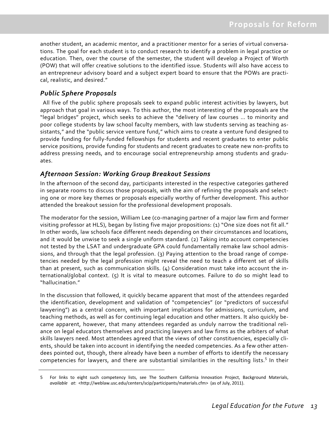another student, an academic mentor, and a practitioner mentor for a series of virtual conversations. The goal for each student is to conduct research to identify a problem in legal practice or education. Then, over the course of the semester, the student will develop a Project of Worth (POW) that will offer creative solutions to the identified issue. Students will also have access to an entrepreneur advisory board and a subject expert board to ensure that the POWs are practical, realistic, and desired."

### *Public Sphere Proposals*

 All five of the public sphere proposals seek to expand public interest activities by lawyers, but approach that goal in various ways. To this author, the most interesting of the proposals are the "legal bridges" project, which seeks to achieve the "delivery of law courses … to minority and poor college students by law school faculty members, with law students serving as teaching as‐ sistants," and the "public service venture fund," which aims to create a venture fund designed to provide funding for fully‐funded fellowships for students and recent graduates to enter public service positions, provide funding for students and recent graduates to create new non‐profits to address pressing needs, and to encourage social entrepreneurship among students and gradu‐ ates.

#### *Afternoon Session: Working Group Breakout Sessions*

In the afternoon of the second day, participants interested in the respective categories gathered in separate rooms to discuss those proposals, with the aim of refining the proposals and selecting one or more key themes or proposals especially worthy of further development. This author attended the breakout session for the professional development proposals.

The moderator for the session, William Lee (co-managing partner of a major law firm and former visiting professor at HLS), began by listing five major propositions: (1) "One size does not fit all." In other words, law schools face different needs depending on their circumstances and locations, and it would be unwise to seek a single uniform standard. (2) Taking into account competencies not tested by the LSAT and undergraduate GPA could fundamentally remake law school admis‐ sions, and through that the legal profession. (3) Paying attention to the broad range of competencies needed by the legal profession might reveal the need to teach a different set of skills than at present, such as communication skills. (4) Consideration must take into account the in‐ ternational/global context. (5) It is vital to measure outcomes. Failure to do so might lead to "hallucination."

In the discussion that followed, it quickly became apparent that most of the attendees regarded the identification, development and validation of "competencies" (or "predictors of successful lawyering") as a central concern, with important implications for admissions, curriculum, and teaching methods, as well as for continuing legal education and other matters. It also quickly be‐ came apparent, however, that many attendees regarded as unduly narrow the traditional reli‐ ance on legal educators themselves and practicing lawyers and law firms as the arbiters of what skills lawyers need. Most attendees agreed that the views of other constituencies, especially cli‐ ents, should be taken into account in identifying the needed competencies. As a few other attendees pointed out, though, there already have been a number of efforts to identify the necessary competencies for lawyers, and there are substantial similarities in the resulting lists.<sup>5</sup> In their

<sup>5</sup> For links to eight such competency lists, see The Southern California Innovation Project, Background Materials, *available at*: <http://weblaw.usc.edu/centers/scip/participants/materials.cfm> (as of July, 2011).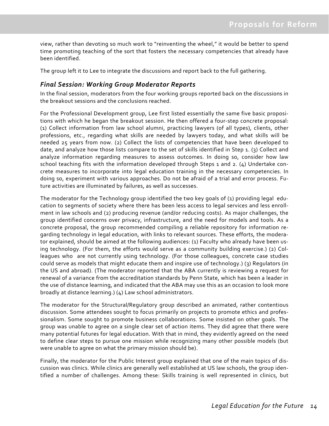view, rather than devoting so much work to "reinventing the wheel," it would be better to spend time promoting teaching of the sort that fosters the necessary competencies that already have been identified.

The group left it to Lee to integrate the discussions and report back to the full gathering.

#### *Final Session: Working Group Moderator Reports*

In the final session, moderators from the four working groups reported back on the discussions in the breakout sessions and the conclusions reached.

For the Professional Development group, Lee first listed essentially the same five basic propositions with which he began the breakout session. He then offered a four‐step concrete proposal: (1) Collect information from law school alumni, practicing lawyers (of all types), clients, other professions, etc., regarding what skills are needed by lawyers today, and what skills will be needed 25 years from now. (2) Collect the lists of competencies that have been developed to date, and analyze how those lists compare to the set of skills identified in Step 1. (3) Collect and analyze information regarding measures to assess outcomes. In doing so, consider how law school teaching fits with the information developed through Steps 1 and 2. (4) Undertake concrete measures to incorporate into legal education training in the necessary competencies. In doing so, experiment with various approaches. Do not be afraid of a trial and error process. Fu‐ ture activities are illuminated by failures, as well as successes.

The moderator for the Technology group identified the two key goals of (1) providing legal education to segments of society where there has been less access to legal services and less enroll‐ ment in law schools and (2) producing revenue (and/or reducing costs). As major challenges, the group identified concerns over privacy, infrastructure, and the need for models and tools. As a concrete proposal, the group recommended compiling a reliable repository for information re‐ garding technology in legal education, with links to relevant sources. These efforts, the modera‐ tor explained, should be aimed at the following audiences: (1) Faculty who already have been using technology. (For them, the efforts would serve as a community building exercise.) (2) Col‐ leagues who are not currently using technology. (For those colleagues, concrete case studies could serve as models that might educate them and inspire use of technology.) (3) Regulators (in the US and abroad). (The moderator reported that the ABA currently is reviewing a request for renewal of a variance from the accreditation standards by Penn State, which has been a leader in the use of distance learning, and indicated that the ABA may use this as an occasion to look more broadly at distance learning.) (4) Law school administrators.

The moderator for the Structural/Regulatory group described an animated, rather contentious discussion. Some attendees sought to focus primarily on projects to promote ethics and profes‐ sionalism. Some sought to promote business collaborations. Some insisted on other goals. The group was unable to agree on a single clear set of action items. They did agree that there were many potential futures for legal education. With that in mind, they evidently agreed on the need to define clear steps to pursue one mission while recognizing many other possible models (but were unable to agree on what the primary mission should be).

Finally, the moderator for the Public Interest group explained that one of the main topics of dis‐ cussion was clinics. While clinics are generally well established at US law schools, the group iden‐ tified a number of challenges. Among these: Skills training is well represented in clinics, but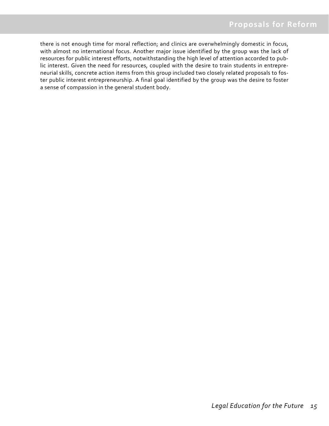there is not enough time for moral reflection; and clinics are overwhelmingly domestic in focus, with almost no international focus. Another major issue identified by the group was the lack of resources for public interest efforts, notwithstanding the high level of attention accorded to pub‐ lic interest. Given the need for resources, coupled with the desire to train students in entrepre‐ neurial skills, concrete action items from this group included two closely related proposals to fos‐ ter public interest entrepreneurship. A final goal identified by the group was the desire to foster a sense of compassion in the general student body.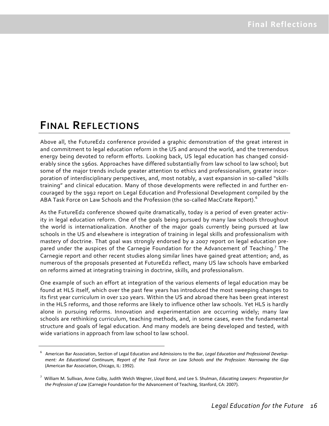### **FINAL REFLECTIONS**

Above all, the FutureEd2 conference provided a graphic demonstration of the great interest in and commitment to legal education reform in the US and around the world, and the tremendous energy being devoted to reform efforts. Looking back, US legal education has changed consid‐ erably since the 1960s. Approaches have differed substantially from law school to law school; but some of the major trends include greater attention to ethics and professionalism, greater incorporation of interdisciplinary perspectives, and, most notably, a vast expansion in so-called "skills training" and clinical education. Many of those developments were reflected in and further en‐ couraged by the 1992 report on Legal Education and Professional Development compiled by the ABA Task Force on Law Schools and the Profession (the so-called MacCrate Report). $^6$ 

As the FutureEd2 conference showed quite dramatically, today is a period of even greater activity in legal education reform. One of the goals being pursued by many law schools throughout the world is internationalization. Another of the major goals currently being pursued at law schools in the US and elsewhere is integration of training in legal skills and professionalism with mastery of doctrine. That goal was strongly endorsed by a 2007 report on legal education pre‐ pared under the auspices of the Carnegie Foundation for the Advancement of Teaching.<sup>7</sup> The Carnegie report and other recent studies along similar lines have gained great attention; and, as numerous of the proposals presented at FutureEd2 reflect, many US law schools have embarked on reforms aimed at integrating training in doctrine, skills, and professionalism.

One example of such an effort at integration of the various elements of legal education may be found at HLS itself, which over the past few years has introduced the most sweeping changes to its first year curriculum in over 120 years. Within the US and abroad there has been great interest in the HLS reforms, and those reforms are likely to influence other law schools. Yet HLS is hardly alone in pursuing reforms. Innovation and experimentation are occurring widely; many law schools are rethinking curriculum, teaching methods, and, in some cases, even the fundamental structure and goals of legal education. And many models are being developed and tested, with wide variations in approach from law school to law school.

<sup>6</sup> American Bar Association, Section of Legal Education and Admissions to the Bar, *Legal Education and Professional Develop‐* ment: An Educational Continuum, Report of the Task Force on Law Schools and the Profession: Narrowing the Gap (American Bar Association, Chicago, IL: 1992).

<sup>7</sup> William M. Sullivan, Anne Colby, Judith Welch Wegner, Lloyd Bond, and Lee S. Shulman, *Educating Lawyers: Preparation for the Profession of Law* (Carnegie Foundation for the Advancement of Teaching, Stanford, CA: 2007).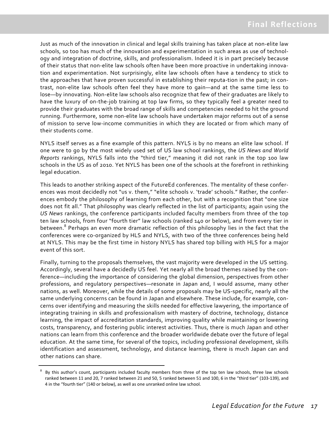Just as much of the innovation in clinical and legal skills training has taken place at non‐elite law schools, so too has much of the innovation and experimentation in such areas as use of technol‐ ogy and integration of doctrine, skills, and professionalism. Indeed it is in part precisely because of their status that non‐elite law schools often have been more proactive in undertaking innova‐ tion and experimentation. Not surprisingly, elite law schools often have a tendency to stick to the approaches that have proven successful in establishing their reputa-tion in the past; in contrast, non‐elite law schools often feel they have more to gain—and at the same time less to lose—by innovating. Non‐elite law schools also recognize that few of their graduates are likely to have the luxury of on-the-job training at top law firms, so they typically feel a greater need to provide their graduates with the broad range of skills and competencies needed to hit the ground running. Furthermore, some non‐elite law schools have undertaken major reforms out of a sense of mission to serve low‐income communities in which they are located or from which many of their students come.

NYLS itself serves as a fine example of this pattern. NYLS is by no means an elite law school. If one were to go by the most widely used set of US law school rankings, the *US News and World Reports* rankings, NYLS falls into the "third tier," meaning it did not rank in the top 100 law schools in the US as of 2010. Yet NYLS has been one of the schools at the forefront in rethinking legal education.

This leads to another striking aspect of the FutureEd conferences. The mentality of these confer‐ ences was most decidedly not "us v. them," "elite schools v. 'trade' schools." Rather, the conferences embody the philosophy of learning from each other, but with a recognition that "one size does not fit all." That philosophy was clearly reflected in the list of participants; again using the *US News* rankings, the conference participants included faculty members from three of the top ten law schools, from four "fourth tier" law schools (ranked 140 or below), and from every tier in between.<sup>8</sup> Perhaps an even more dramatic reflection of this philosophy lies in the fact that the conferences were co-organized by HLS and NYLS, with two of the three conferences being held at NYLS. This may be the first time in history NYLS has shared top billing with HLS for a major event of this sort.

Finally, turning to the proposals themselves, the vast majority were developed in the US setting. Accordingly, several have a decidedly US feel. Yet nearly all the broad themes raised by the con‐ ference—including the importance of considering the global dimension, perspectives from other professions, and regulatory perspectives—resonate in Japan and, I would assume, many other nations, as well. Moreover, while the details of some proposals may be US‐specific, nearly all the same underlying concerns can be found in Japan and elsewhere. These include, for example, concerns over identifying and measuring the skills needed for effective lawyering, the importance of integrating training in skills and professionalism with mastery of doctrine, technology, distance learning, the impact of accreditation standards, improving quality while maintaining or lowering costs, transparency, and fostering public interest activities. Thus, there is much Japan and other nations can learn from this conference and the broader worldwide debate over the future of legal education. At the same time, for several of the topics, including professional development, skills identification and assessment, technology, and distance learning, there is much Japan can and other nations can share.

<sup>&</sup>lt;sup>8</sup> By this author's count, participants included faculty members from three of the top ten law schools, three law schools ranked between 11 and 20, 7 ranked between 21 and 50, 5 ranked between 51 and 100, 6 in the "third tier" (103‐139), and 4 in the "fourth tier" (140 or below), as well as one unranked online law school.